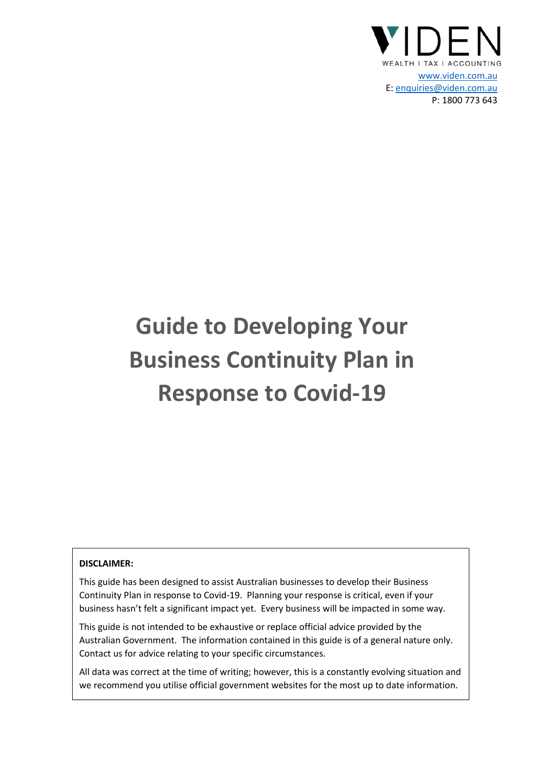

# **Guide to Developing Your Business Continuity Plan in Response to Covid-19**

#### **DISCLAIMER:**

This guide has been designed to assist Australian businesses to develop their Business Continuity Plan in response to Covid-19. Planning your response is critical, even if your business hasn't felt a significant impact yet. Every business will be impacted in some way.

This guide is not intended to be exhaustive or replace official advice provided by the Australian Government. The information contained in this guide is of a general nature only. Contact us for advice relating to your specific circumstances.

All data was correct at the time of writing; however, this is a constantly evolving situation and we recommend you utilise official government websites for the most up to date information.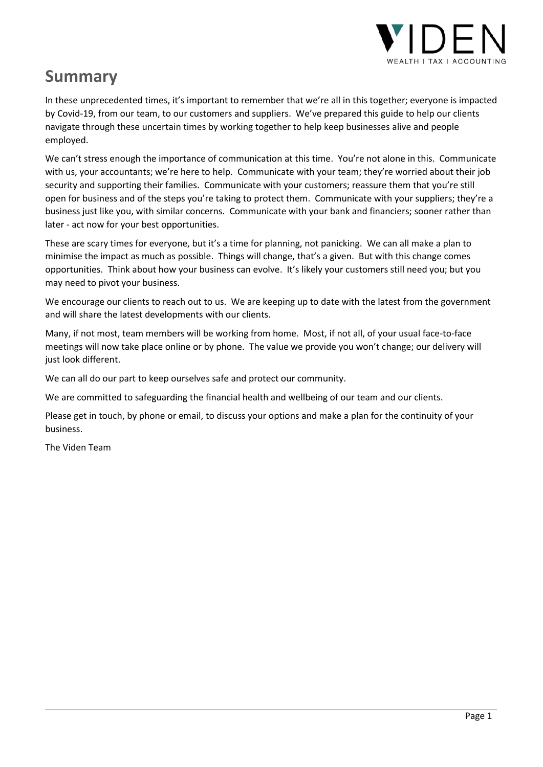

## **Summary**

In these unprecedented times, it's important to remember that we're all in this together; everyone is impacted by Covid-19, from our team, to our customers and suppliers. We've prepared this guide to help our clients navigate through these uncertain times by working together to help keep businesses alive and people employed.

We can't stress enough the importance of communication at this time. You're not alone in this. Communicate with us, your accountants; we're here to help. Communicate with your team; they're worried about their job security and supporting their families. Communicate with your customers; reassure them that you're still open for business and of the steps you're taking to protect them. Communicate with your suppliers; they're a business just like you, with similar concerns. Communicate with your bank and financiers; sooner rather than later - act now for your best opportunities.

These are scary times for everyone, but it's a time for planning, not panicking. We can all make a plan to minimise the impact as much as possible. Things will change, that's a given. But with this change comes opportunities. Think about how your business can evolve. It's likely your customers still need you; but you may need to pivot your business.

We encourage our clients to reach out to us. We are keeping up to date with the latest from the government and will share the latest developments with our clients.

Many, if not most, team members will be working from home. Most, if not all, of your usual face-to-face meetings will now take place online or by phone. The value we provide you won't change; our delivery will just look different.

We can all do our part to keep ourselves safe and protect our community.

We are committed to safeguarding the financial health and wellbeing of our team and our clients.

Please get in touch, by phone or email, to discuss your options and make a plan for the continuity of your business.

The Viden Team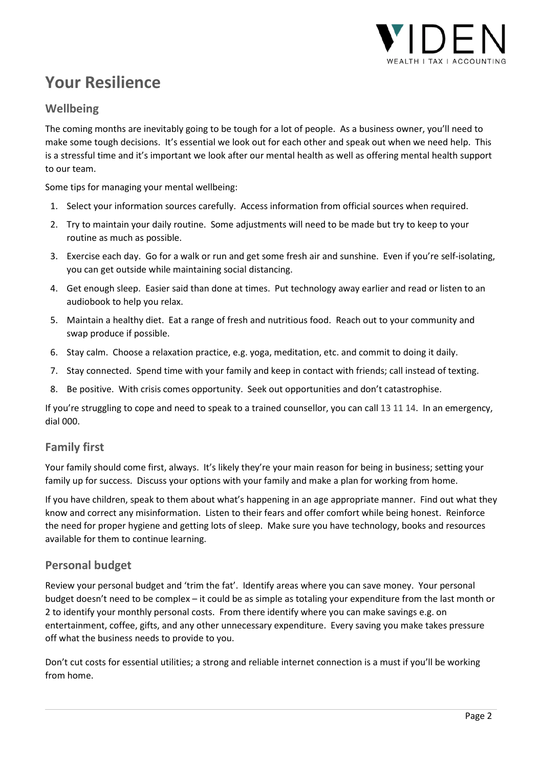

## **Your Resilience**

## **Wellbeing**

The coming months are inevitably going to be tough for a lot of people. As a business owner, you'll need to make some tough decisions. It's essential we look out for each other and speak out when we need help. This is a stressful time and it's important we look after our mental health as well as offering mental health support to our team.

Some tips for managing your mental wellbeing:

- 1. Select your information sources carefully. Access information from official sources when required.
- 2. Try to maintain your daily routine. Some adjustments will need to be made but try to keep to your routine as much as possible.
- 3. Exercise each day. Go for a walk or run and get some fresh air and sunshine. Even if you're self-isolating, you can get outside while maintaining social distancing.
- 4. Get enough sleep. Easier said than done at times. Put technology away earlier and read or listen to an audiobook to help you relax.
- 5. Maintain a healthy diet. Eat a range of fresh and nutritious food. Reach out to your community and swap produce if possible.
- 6. Stay calm. Choose a relaxation practice, e.g. yoga, meditation, etc. and commit to doing it daily.
- 7. Stay connected. Spend time with your family and keep in contact with friends; call instead of texting.
- 8. Be positive. With crisis comes opportunity. Seek out opportunities and don't catastrophise.

If you're struggling to cope and need to speak to a trained counsellor, you can call 13 11 14. In an emergency, dial 000.

## **Family first**

Your family should come first, always. It's likely they're your main reason for being in business; setting your family up for success. Discuss your options with your family and make a plan for working from home.

If you have children, speak to them about what's happening in an age appropriate manner. Find out what they know and correct any misinformation. Listen to their fears and offer comfort while being honest. Reinforce the need for proper hygiene and getting lots of sleep. Make sure you have technology, books and resources available for them to continue learning.

## **Personal budget**

Review your personal budget and 'trim the fat'. Identify areas where you can save money. Your personal budget doesn't need to be complex – it could be as simple as totaling your expenditure from the last month or 2 to identify your monthly personal costs. From there identify where you can make savings e.g. on entertainment, coffee, gifts, and any other unnecessary expenditure. Every saving you make takes pressure off what the business needs to provide to you.

Don't cut costs for essential utilities; a strong and reliable internet connection is a must if you'll be working from home.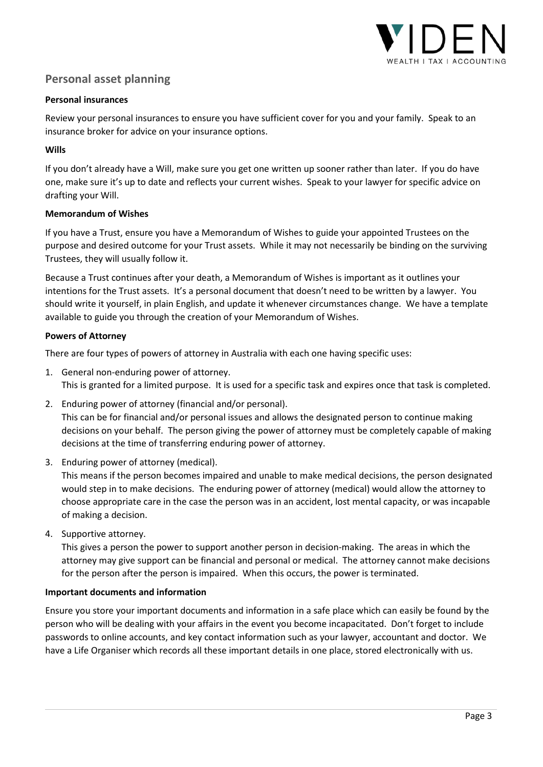

## **Personal asset planning**

#### **Personal insurances**

Review your personal insurances to ensure you have sufficient cover for you and your family. Speak to an insurance broker for advice on your insurance options.

### **Wills**

If you don't already have a Will, make sure you get one written up sooner rather than later. If you do have one, make sure it's up to date and reflects your current wishes. Speak to your lawyer for specific advice on drafting your Will.

### **Memorandum of Wishes**

If you have a Trust, ensure you have a Memorandum of Wishes to guide your appointed Trustees on the purpose and desired outcome for your Trust assets. While it may not necessarily be binding on the surviving Trustees, they will usually follow it.

Because a Trust continues after your death, a Memorandum of Wishes is important as it outlines your intentions for the Trust assets. It's a personal document that doesn't need to be written by a lawyer. You should write it yourself, in plain English, and update it whenever circumstances change. We have a template available to guide you through the creation of your Memorandum of Wishes.

### **Powers of Attorney**

There are four types of powers of attorney in Australia with each one having specific uses:

- 1. General non-enduring power of attorney. This is granted for a limited purpose. It is used for a specific task and expires once that task is completed.
- 2. Enduring power of attorney (financial and/or personal). This can be for financial and/or personal issues and allows the designated person to continue making decisions on your behalf. The person giving the power of attorney must be completely capable of making decisions at the time of transferring enduring power of attorney.
- 3. Enduring power of attorney (medical).

This means if the person becomes impaired and unable to make medical decisions, the person designated would step in to make decisions. The enduring power of attorney (medical) would allow the attorney to choose appropriate care in the case the person was in an accident, lost mental capacity, or was incapable of making a decision.

4. Supportive attorney.

This gives a person the power to support another person in decision-making. The areas in which the attorney may give support can be financial and personal or medical. The attorney cannot make decisions for the person after the person is impaired. When this occurs, the power is terminated.

#### **Important documents and information**

Ensure you store your important documents and information in a safe place which can easily be found by the person who will be dealing with your affairs in the event you become incapacitated. Don't forget to include passwords to online accounts, and key contact information such as your lawyer, accountant and doctor. We have a Life Organiser which records all these important details in one place, stored electronically with us.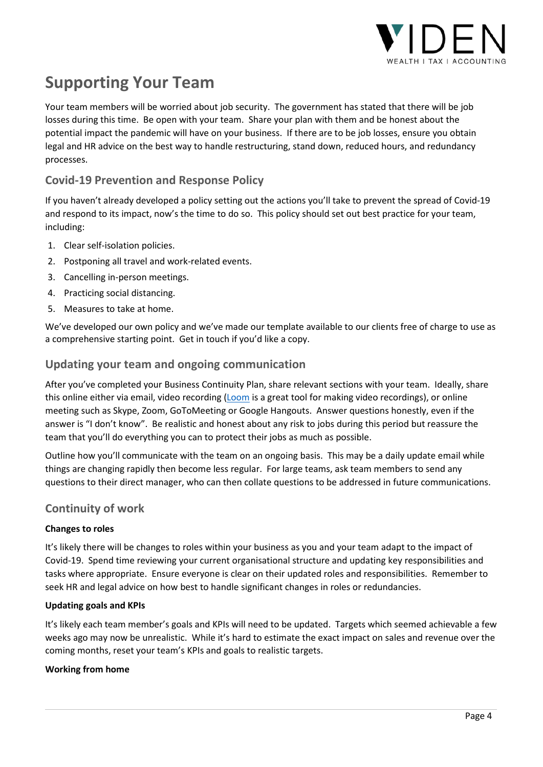

## **Supporting Your Team**

Your team members will be worried about job security. The government has stated that there will be job losses during this time. Be open with your team. Share your plan with them and be honest about the potential impact the pandemic will have on your business. If there are to be job losses, ensure you obtain legal and HR advice on the best way to handle restructuring, stand down, reduced hours, and redundancy processes.

## **Covid-19 Prevention and Response Policy**

If you haven't already developed a policy setting out the actions you'll take to prevent the spread of Covid-19 and respond to its impact, now's the time to do so. This policy should set out best practice for your team, including:

- 1. Clear self-isolation policies.
- 2. Postponing all travel and work-related events.
- 3. Cancelling in-person meetings.
- 4. Practicing social distancing.
- 5. Measures to take at home.

We've developed our own policy and we've made our template available to our clients free of charge to use as a comprehensive starting point. Get in touch if you'd like a copy.

## **Updating your team and ongoing communication**

After you've completed your Business Continuity Plan, share relevant sections with your team. Ideally, share this online either via email, video recording (Loom is a great tool for making video recordings), or online meeting such as Skype, Zoom, GoToMeeting or Google Hangouts. Answer questions honestly, even if the answer is "I don't know". Be realistic and honest about any risk to jobs during this period but reassure the team that you'll do everything you can to protect their jobs as much as possible.

Outline how you'll communicate with the team on an ongoing basis. This may be a daily update email while things are changing rapidly then become less regular. For large teams, ask team members to send any questions to their direct manager, who can then collate questions to be addressed in future communications.

## **Continuity of work**

## **Changes to roles**

It's likely there will be changes to roles within your business as you and your team adapt to the impact of Covid-19. Spend time reviewing your current organisational structure and updating key responsibilities and tasks where appropriate. Ensure everyone is clear on their updated roles and responsibilities. Remember to seek HR and legal advice on how best to handle significant changes in roles or redundancies.

## **Updating goals and KPIs**

It's likely each team member's goals and KPIs will need to be updated. Targets which seemed achievable a few weeks ago may now be unrealistic. While it's hard to estimate the exact impact on sales and revenue over the coming months, reset your team's KPIs and goals to realistic targets.

## **Working from home**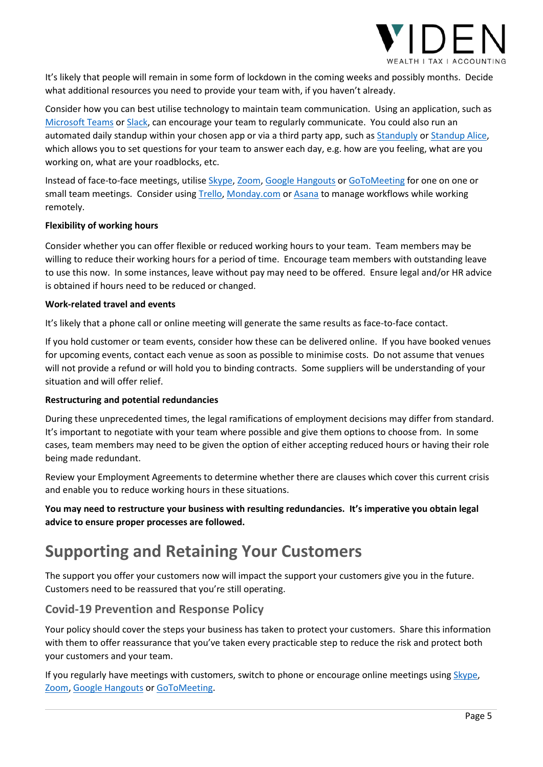

It's likely that people will remain in some form of lockdown in the coming weeks and possibly months. Decide what additional resources you need to provide your team with, if you haven't already.

Consider how you can best utilise technology to maintain team communication. Using an application, such as Microsoft Teams or Slack, can encourage your team to regularly communicate. You could also run an automated daily standup within your chosen app or via a third party app, such as Standuply or Standup Alice, which allows you to set questions for your team to answer each day, e.g. how are you feeling, what are you working on, what are your roadblocks, etc.

Instead of face-to-face meetings, utilise Skype, Zoom, Google Hangouts or GoToMeeting for one on one or small team meetings. Consider using Trello, Monday.com or Asana to manage workflows while working remotely.

#### **Flexibility of working hours**

Consider whether you can offer flexible or reduced working hours to your team. Team members may be willing to reduce their working hours for a period of time. Encourage team members with outstanding leave to use this now. In some instances, leave without pay may need to be offered. Ensure legal and/or HR advice is obtained if hours need to be reduced or changed.

#### **Work-related travel and events**

It's likely that a phone call or online meeting will generate the same results as face-to-face contact.

If you hold customer or team events, consider how these can be delivered online. If you have booked venues for upcoming events, contact each venue as soon as possible to minimise costs. Do not assume that venues will not provide a refund or will hold you to binding contracts. Some suppliers will be understanding of your situation and will offer relief.

#### **Restructuring and potential redundancies**

During these unprecedented times, the legal ramifications of employment decisions may differ from standard. It's important to negotiate with your team where possible and give them options to choose from. In some cases, team members may need to be given the option of either accepting reduced hours or having their role being made redundant.

Review your Employment Agreements to determine whether there are clauses which cover this current crisis and enable you to reduce working hours in these situations.

**You may need to restructure your business with resulting redundancies. It's imperative you obtain legal advice to ensure proper processes are followed.** 

## **Supporting and Retaining Your Customers**

The support you offer your customers now will impact the support your customers give you in the future. Customers need to be reassured that you're still operating.

## **Covid-19 Prevention and Response Policy**

Your policy should cover the steps your business has taken to protect your customers. Share this information with them to offer reassurance that you've taken every practicable step to reduce the risk and protect both your customers and your team.

If you regularly have meetings with customers, switch to phone or encourage online meetings using Skype, Zoom, Google Hangouts or GoToMeeting.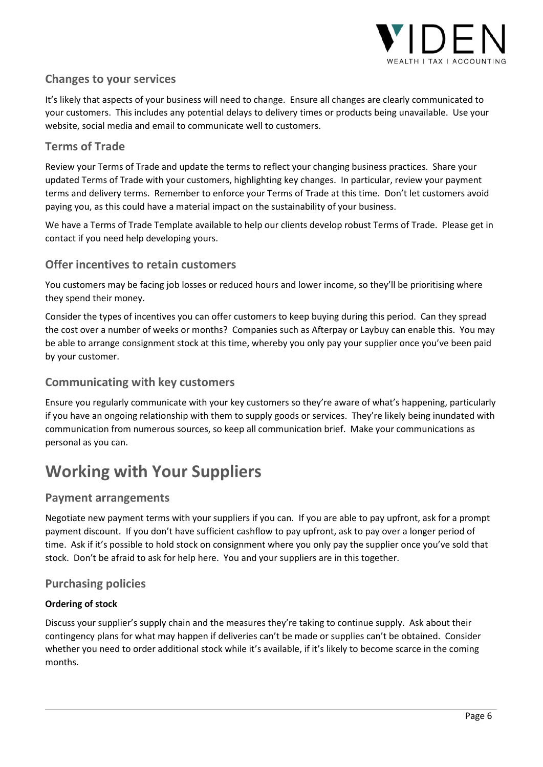

## **Changes to your services**

It's likely that aspects of your business will need to change. Ensure all changes are clearly communicated to your customers. This includes any potential delays to delivery times or products being unavailable. Use your website, social media and email to communicate well to customers.

## **Terms of Trade**

Review your Terms of Trade and update the terms to reflect your changing business practices. Share your updated Terms of Trade with your customers, highlighting key changes. In particular, review your payment terms and delivery terms. Remember to enforce your Terms of Trade at this time. Don't let customers avoid paying you, as this could have a material impact on the sustainability of your business.

We have a Terms of Trade Template available to help our clients develop robust Terms of Trade. Please get in contact if you need help developing yours.

## **Offer incentives to retain customers**

You customers may be facing job losses or reduced hours and lower income, so they'll be prioritising where they spend their money.

Consider the types of incentives you can offer customers to keep buying during this period. Can they spread the cost over a number of weeks or months? Companies such as Afterpay or Laybuy can enable this. You may be able to arrange consignment stock at this time, whereby you only pay your supplier once you've been paid by your customer.

## **Communicating with key customers**

Ensure you regularly communicate with your key customers so they're aware of what's happening, particularly if you have an ongoing relationship with them to supply goods or services. They're likely being inundated with communication from numerous sources, so keep all communication brief. Make your communications as personal as you can.

## **Working with Your Suppliers**

## **Payment arrangements**

Negotiate new payment terms with your suppliers if you can. If you are able to pay upfront, ask for a prompt payment discount. If you don't have sufficient cashflow to pay upfront, ask to pay over a longer period of time. Ask if it's possible to hold stock on consignment where you only pay the supplier once you've sold that stock. Don't be afraid to ask for help here. You and your suppliers are in this together.

## **Purchasing policies**

## **Ordering of stock**

Discuss your supplier's supply chain and the measures they're taking to continue supply. Ask about their contingency plans for what may happen if deliveries can't be made or supplies can't be obtained. Consider whether you need to order additional stock while it's available, if it's likely to become scarce in the coming months.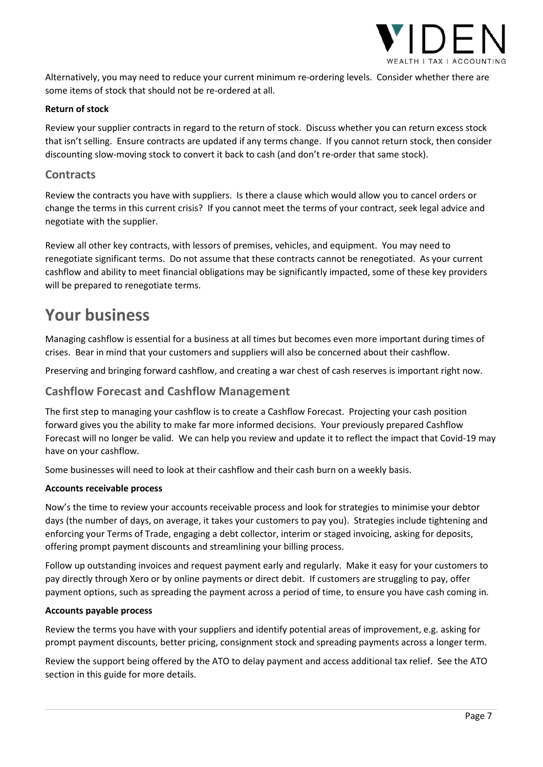

Alternatively, you may need to reduce your current minimum re-ordering levels. Consider whether there are some items of stock that should not be re-ordered at all.

#### **Return of stock**

Review your supplier contracts in regard to the return of stock. Discuss whether you can return excess stock that isn't selling. Ensure contracts are updated if any terms change. If you cannot return stock, then consider discounting slow-moving stock to convert it back to cash (and don't re-order that same stock).

## **Contracts**

Review the contracts you have with suppliers. Is there a clause which would allow you to cancel orders or change the terms in this current crisis? If you cannot meet the terms of your contract, seek legal advice and negotiate with the supplier.

Review all other key contracts, with lessors of premises, vehicles, and equipment. You may need to renegotiate significant terms. Do not assume that these contracts cannot be renegotiated. As your current cashflow and ability to meet financial obligations may be significantly impacted, some of these key providers will be prepared to renegotiate terms.

## **Your business**

Managing cashflow is essential for a business at all times but becomes even more important during times of crises. Bear in mind that your customers and suppliers will also be concerned about their cashflow.

Preserving and bringing forward cashflow, and creating a war chest of cash reserves is important right now.

## **Cashflow Forecast and Cashflow Management**

The first step to managing your cashflow is to create a Cashflow Forecast. Projecting your cash position forward gives you the ability to make far more informed decisions. Your previously prepared Cashflow Forecast will no longer be valid. We can help you review and update it to reflect the impact that Covid-19 may have on your cashflow.

Some businesses will need to look at their cashflow and their cash burn on a weekly basis.

#### **Accounts receivable process**

Now's the time to review your accounts receivable process and look for strategies to minimise your debtor days (the number of days, on average, it takes your customers to pay you). Strategies include tightening and enforcing your Terms of Trade, engaging a debt collector, interim or staged invoicing, asking for deposits, offering prompt payment discounts and streamlining your billing process.

Follow up outstanding invoices and request payment early and regularly. Make it easy for your customers to pay directly through Xero or by online payments or direct debit. If customers are struggling to pay, offer payment options, such as spreading the payment across a period of time, to ensure you have cash coming in.

#### **Accounts payable process**

Review the terms you have with your suppliers and identify potential areas of improvement, e.g. asking for prompt payment discounts, better pricing, consignment stock and spreading payments across a longer term.

Review the support being offered by the ATO to delay payment and access additional tax relief. See the ATO section in this guide for more details.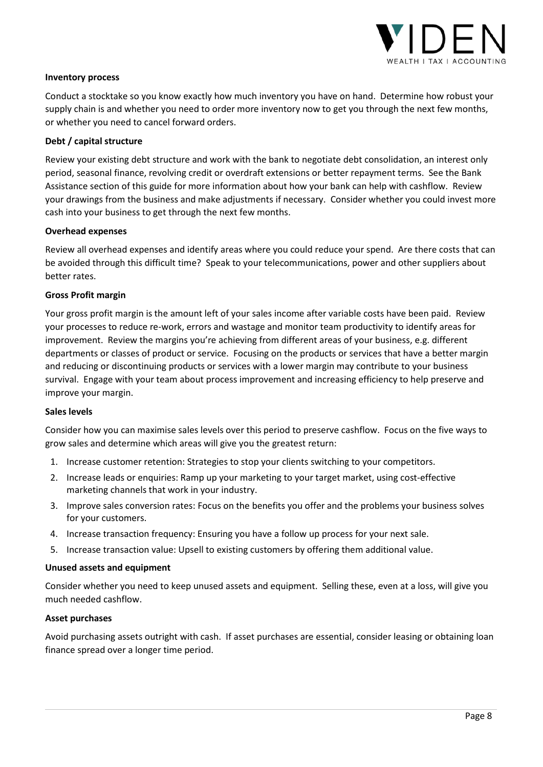

#### **Inventory process**

Conduct a stocktake so you know exactly how much inventory you have on hand. Determine how robust your supply chain is and whether you need to order more inventory now to get you through the next few months, or whether you need to cancel forward orders.

#### **Debt / capital structure**

Review your existing debt structure and work with the bank to negotiate debt consolidation, an interest only period, seasonal finance, revolving credit or overdraft extensions or better repayment terms. See the Bank Assistance section of this guide for more information about how your bank can help with cashflow. Review your drawings from the business and make adjustments if necessary. Consider whether you could invest more cash into your business to get through the next few months.

#### **Overhead expenses**

Review all overhead expenses and identify areas where you could reduce your spend. Are there costs that can be avoided through this difficult time? Speak to your telecommunications, power and other suppliers about better rates.

### **Gross Profit margin**

Your gross profit margin is the amount left of your sales income after variable costs have been paid. Review your processes to reduce re-work, errors and wastage and monitor team productivity to identify areas for improvement. Review the margins you're achieving from different areas of your business, e.g. different departments or classes of product or service. Focusing on the products or services that have a better margin and reducing or discontinuing products or services with a lower margin may contribute to your business survival. Engage with your team about process improvement and increasing efficiency to help preserve and improve your margin.

#### **Sales levels**

Consider how you can maximise sales levels over this period to preserve cashflow. Focus on the five ways to grow sales and determine which areas will give you the greatest return:

- 1. Increase customer retention: Strategies to stop your clients switching to your competitors.
- 2. Increase leads or enquiries: Ramp up your marketing to your target market, using cost-effective marketing channels that work in your industry.
- 3. Improve sales conversion rates: Focus on the benefits you offer and the problems your business solves for your customers.
- 4. Increase transaction frequency: Ensuring you have a follow up process for your next sale.
- 5. Increase transaction value: Upsell to existing customers by offering them additional value.

#### **Unused assets and equipment**

Consider whether you need to keep unused assets and equipment. Selling these, even at a loss, will give you much needed cashflow.

#### **Asset purchases**

Avoid purchasing assets outright with cash. If asset purchases are essential, consider leasing or obtaining loan finance spread over a longer time period.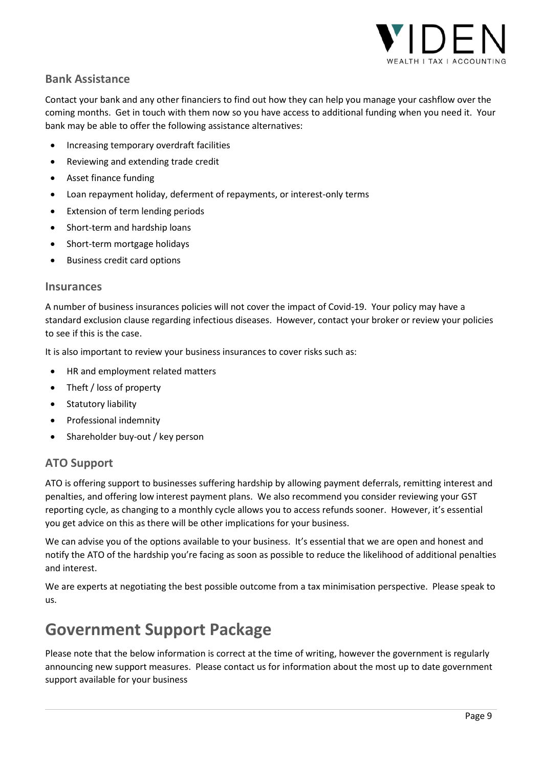

## **Bank Assistance**

Contact your bank and any other financiers to find out how they can help you manage your cashflow over the coming months. Get in touch with them now so you have access to additional funding when you need it. Your bank may be able to offer the following assistance alternatives:

- Increasing temporary overdraft facilities
- Reviewing and extending trade credit
- Asset finance funding
- Loan repayment holiday, deferment of repayments, or interest-only terms
- Extension of term lending periods
- Short-term and hardship loans
- Short-term mortgage holidays
- Business credit card options

### **Insurances**

A number of business insurances policies will not cover the impact of Covid-19. Your policy may have a standard exclusion clause regarding infectious diseases. However, contact your broker or review your policies to see if this is the case.

It is also important to review your business insurances to cover risks such as:

- HR and employment related matters
- Theft / loss of property
- Statutory liability
- Professional indemnity
- Shareholder buy-out / key person

## **ATO Support**

ATO is offering support to businesses suffering hardship by allowing payment deferrals, remitting interest and penalties, and offering low interest payment plans. We also recommend you consider reviewing your GST reporting cycle, as changing to a monthly cycle allows you to access refunds sooner. However, it's essential you get advice on this as there will be other implications for your business.

We can advise you of the options available to your business. It's essential that we are open and honest and notify the ATO of the hardship you're facing as soon as possible to reduce the likelihood of additional penalties and interest.

We are experts at negotiating the best possible outcome from a tax minimisation perspective. Please speak to us.

## **Government Support Package**

Please note that the below information is correct at the time of writing, however the government is regularly announcing new support measures. Please contact us for information about the most up to date government support available for your business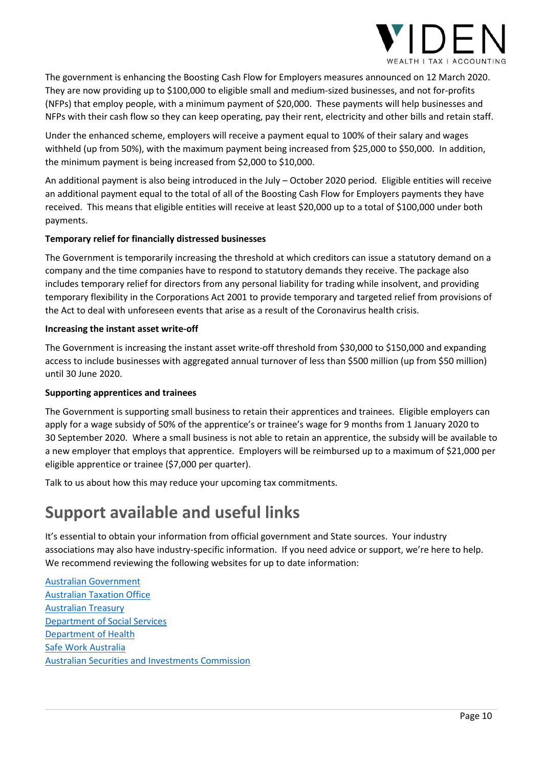

The government is enhancing the Boosting Cash Flow for Employers measures announced on 12 March 2020. They are now providing up to \$100,000 to eligible small and medium-sized businesses, and not for-profits (NFPs) that employ people, with a minimum payment of \$20,000. These payments will help businesses and NFPs with their cash flow so they can keep operating, pay their rent, electricity and other bills and retain staff.

Under the enhanced scheme, employers will receive a payment equal to 100% of their salary and wages withheld (up from 50%), with the maximum payment being increased from \$25,000 to \$50,000. In addition, the minimum payment is being increased from \$2,000 to \$10,000.

An additional payment is also being introduced in the July – October 2020 period. Eligible entities will receive an additional payment equal to the total of all of the Boosting Cash Flow for Employers payments they have received. This means that eligible entities will receive at least \$20,000 up to a total of \$100,000 under both payments.

## **Temporary relief for financially distressed businesses**

The Government is temporarily increasing the threshold at which creditors can issue a statutory demand on a company and the time companies have to respond to statutory demands they receive. The package also includes temporary relief for directors from any personal liability for trading while insolvent, and providing temporary flexibility in the Corporations Act 2001 to provide temporary and targeted relief from provisions of the Act to deal with unforeseen events that arise as a result of the Coronavirus health crisis.

### **Increasing the instant asset write-off**

The Government is increasing the instant asset write-off threshold from \$30,000 to \$150,000 and expanding access to include businesses with aggregated annual turnover of less than \$500 million (up from \$50 million) until 30 June 2020.

## **Supporting apprentices and trainees**

The Government is supporting small business to retain their apprentices and trainees. Eligible employers can apply for a wage subsidy of 50% of the apprentice's or trainee's wage for 9 months from 1 January 2020 to 30 September 2020. Where a small business is not able to retain an apprentice, the subsidy will be available to a new employer that employs that apprentice. Employers will be reimbursed up to a maximum of \$21,000 per eligible apprentice or trainee (\$7,000 per quarter).

Talk to us about how this may reduce your upcoming tax commitments.

## **Support available and useful links**

It's essential to obtain your information from official government and State sources. Your industry associations may also have industry-specific information. If you need advice or support, we're here to help. We recommend reviewing the following websites for up to date information:

Australian Government Australian Taxation Office Australian Treasury Department of Social Services Department of Health Safe Work Australia Australian Securities and Investments Commission